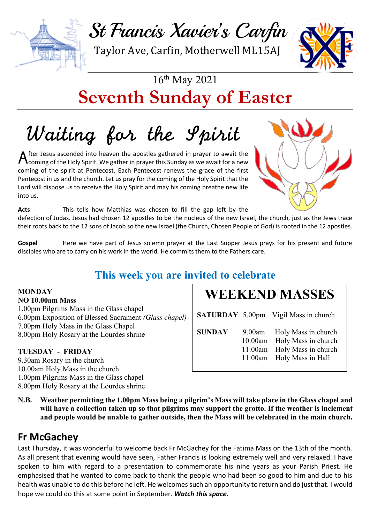

Taylor Ave, Carfin, Motherwell ML15AJ



# 16th May 2021 **Seventh Sunday of Easter**

Waiting for the Spirit

fter Jesus ascended into heaven the apostles gathered in prayer to await the After Jesus ascended into heaven the apostles gathered in prayer to await the coming of the Holy Spirit. We gather in prayer this Sunday as we await for a new coming of the spirit at Pentecost. Each Pentecost renews the grace of the first Pentecost in us and the church. Let us pray for the coming of the Holy Spirit that the Lord will dispose us to receive the Holy Spirit and may his coming breathe new life into us.



**Acts** This tells how Matthias was chosen to fill the gap left by the defection of Judas. Jesus had chosen 12 apostles to be the nucleus of the new Israel, the church, just as the Jews trace their roots back to the 12 sons of Jacob so the new Israel (the Church, Chosen People of God) is rooted in the 12 apostles.

Gospel Here we have part of Jesus solemn prayer at the Last Supper Jesus prays for his present and future disciples who are to carry on his work in the world. He commits them to the Fathers care.

## **This week you are invited to celebrate**

#### **MONDAY NO 10.00am Mass**

1.00pm Pilgrims Mass in the Glass chapel 6.00pm Exposition of Blessed Sacrament *(Glass chapel)* 7.00pm Holy Mass in the Glass Chapel 8.00pm Holy Rosary at the Lourdes shrine

#### **TUESDAY - FRIDAY**

9.30am Rosary in the church 10.00am Holy Mass in the church 1.00pm Pilgrims Mass in the Glass chapel 8.00pm Holy Rosary at the Lourdes shrine

## **WEEKEND MASSES**

**SATURDAY** 5.00pm Vigil Mass in church **SUNDAY** 9.00am Holy Mass in church 10.00am Holy Mass in church 11.00am Holy Mass in church 11.00am Holy Mass in Hall

**N.B. Weather permitting the 1.00pm Mass being a pilgrim's Mass will take place in the Glass chapel and will have a collection taken up so that pilgrims may support the grotto. If the weather is inclement and people would be unable to gather outside, then the Mass will be celebrated in the main church.**

## **Fr McGachey**

Last Thursday, it was wonderful to welcome back Fr McGachey for the Fatima Mass on the 13th of the month. As all present that evening would have seen, Father Francis is looking extremely well and very relaxed. I have spoken to him with regard to a presentation to commemorate his nine years as your Parish Priest. He emphasised that he wanted to come back to thank the people who had been so good to him and due to his health was unable to do this before he left. He welcomes such an opportunity to return and do just that. I would hope we could do this at some point in September. *Watch this space.*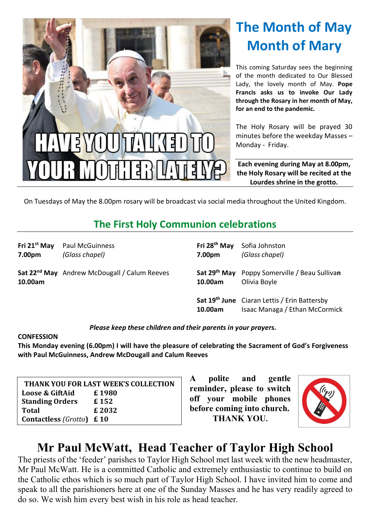

# **The Month of May Month of Mary**

This coming Saturday sees the beginning of the month dedicated to Our Blessed Lady, the lovely month of May. **Pope Francis asks us to invoke Our Lady through the Rosary in her month of May, for an end to the pandemic.**

The Holy Rosary will be prayed 30 minutes before the weekday Masses – Monday - Friday.

**Each evening during May at 8.00pm, the Holy Rosary will be recited at the Lourdes shrine in the grotto.**

On Tuesdays of May the 8.00pm rosary will be broadcast via social media throughout the United Kingdom.

## **The First Holy Communion celebrations**

| Fri 21 <sup>st</sup> May<br>7.00pm | Paul McGuinness<br>(Glass chapel)                        | Fri 28 <sup>th</sup> May<br>7.00pm | Sofia Johnston<br>(Glass chapel)                                                      |
|------------------------------------|----------------------------------------------------------|------------------------------------|---------------------------------------------------------------------------------------|
| 10.00am                            | Sat 22 <sup>nd</sup> May Andrew McDougall / Calum Reeves | 10.00am                            | Sat 29 <sup>th</sup> May Poppy Somerville / Beau Sullivan<br>Olivia Boyle             |
|                                    |                                                          | 10.00am                            | <b>Sat 19th June</b> Ciaran Lettis / Erin Battersby<br>Isaac Managa / Ethan McCormick |

*Please keep these children and their parents in your prayers.*

#### **CONFESSION**

**This Monday evening (6.00pm) I will have the pleasure of celebrating the Sacrament of God's Forgiveness with Paul McGuinness, Andrew McDougall and Calum Reeves**

| THANK YOU FOR LAST WEEK'S COLLECTION |       |  |  |  |  |
|--------------------------------------|-------|--|--|--|--|
| Loose & GiftAid                      | £1980 |  |  |  |  |
| <b>Standing Orders</b>               | £152  |  |  |  |  |
| <b>Total</b>                         | £2032 |  |  |  |  |
| <b>Contactless (Grotto)</b> £10      |       |  |  |  |  |

**A polite and gentle reminder, please to switch off your mobile phones before coming into church. THANK YOU.**



## **Mr Paul McWatt, Head Teacher of Taylor High School**

The priests of the 'feeder' parishes to Taylor High School met last week with the new headmaster, Mr Paul McWatt. He is a committed Catholic and extremely enthusiastic to continue to build on the Catholic ethos which is so much part of Taylor High School. I have invited him to come and speak to all the parishioners here at one of the Sunday Masses and he has very readily agreed to do so. We wish him every best wish in his role as head teacher.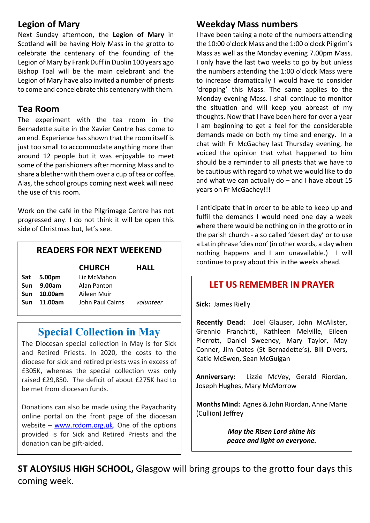#### **Legion of Mary**

Next Sunday afternoon, the **Legion of Mary** in Scotland will be having Holy Mass in the grotto to celebrate the centenary of the founding of the Legion of Mary by Frank Duff in Dublin 100 years ago Bishop Toal will be the main celebrant and the Legion of Mary have also invited a number of priests to come and concelebrate this centenary with them.

#### **Tea Room**

The experiment with the tea room in the Bernadette suite in the Xavier Centre has come to an end. Experience has shown that the room itself is just too small to accommodate anything more than around 12 people but it was enjoyable to meet some of the parishioners after morning Mass and to share a blether with them over a cup of tea or coffee. Alas, the school groups coming next week will need the use of this room.

Work on the café in the Pilgrimage Centre has not progressed any. I do not think it will be open this side of Christmas but, let's see.

#### **READERS FOR NEXT WEEKEND**

|            |            | <b>CHURCH</b>    | HALL      |
|------------|------------|------------------|-----------|
|            | Sat 5.00pm | Liz McMahon      |           |
| <b>Sun</b> | 9.00am     | Alan Panton      |           |
| Sun        | 10.00am    | Aileen Muir      |           |
| <b>Sun</b> | 11.00am    | John Paul Cairns | volunteer |
|            |            |                  |           |

## **Special Collection in May**

The Diocesan special collection in May is for Sick and Retired Priests. In 2020, the costs to the diocese for sick and retired priests was in excess of £305K, whereas the special collection was only raised £29,850. The deficit of about £275K had to be met from diocesan funds.

Donations can also be made using the Payacharity online portal on the front page of the diocesan website – www.rcdom.org.uk. One of the options provided is for Sick and Retired Priests and the donation can be gift-aided.

#### **Weekday Mass numbers**

I have been taking a note of the numbers attending the 10:00 o'clock Mass and the 1:00 o'clock Pilgrim's Mass as well as the Monday evening 7.00pm Mass. I only have the last two weeks to go by but unless the numbers attending the 1:00 o'clock Mass were to increase dramatically I would have to consider 'dropping' this Mass. The same applies to the Monday evening Mass. I shall continue to monitor the situation and will keep you abreast of my thoughts. Now that I have been here for over a year I am beginning to get a feel for the considerable demands made on both my time and energy. In a chat with Fr McGachey last Thursday evening, he voiced the opinion that what happened to him should be a reminder to all priests that we have to be cautious with regard to what we would like to do and what we can actually do – and I have about 15 years on Fr McGachey!!!

I anticipate that in order to be able to keep up and fulfil the demands I would need one day a week where there would be nothing on in the grotto or in the parish church - a so called 'desert day' or to use a Latin phrase 'dies non' (in other words, a day when nothing happens and I am unavailable.) I will continue to pray about this in the weeks ahead.

#### **LET US REMEMBER IN PRAYER**

**Sick:** James Rielly

**Recently Dead:** Joel Glauser, John McAlister, Grennio Franchitti, Kathleen Melville, Eileen Pierrott, Daniel Sweeney, Mary Taylor, May Conner, Jim Oates (St Bernadette's), Bill Divers, Katie McEwen, Sean McGuigan

**Anniversary:** Lizzie McVey, Gerald Riordan, Joseph Hughes, Mary McMorrow

**Months Mind:** Agnes & John Riordan, Anne Marie (Cullion) Jeffrey

> *May the Risen Lord shine his peace and light on everyone.*

**ST ALOYSIUS HIGH SCHOOL,** Glasgow will bring groups to the grotto four days this coming week.